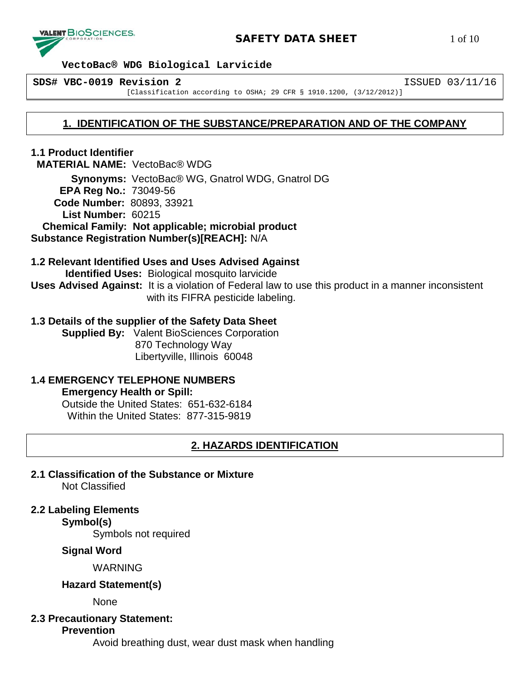

**SDS# VBC-0019 Revision 2** ISSUED 03/11/16

[Classification according to OSHA; 29 CFR § 1910.1200, (3/12/2012)]

## **1. IDENTIFICATION OF THE SUBSTANCE/PREPARATION AND OF THE COMPANY**

**1.1 Product Identifier MATERIAL NAME:** VectoBac® WDG

 **Synonyms:** VectoBac® WG, Gnatrol WDG, Gnatrol DG **EPA Reg No.:** 73049-56 **Code Number:** 80893, 33921 **List Number:** 60215  **Chemical Family: Not applicable; microbial product**

**Substance Registration Number(s)[REACH]:** N/A

## **1.2 Relevant Identified Uses and Uses Advised Against**

 **Identified Uses:** Biological mosquito larvicide **Uses Advised Against:** It is a violation of Federal law to use this product in a manner inconsistent with its FIFRA pesticide labeling.

## **1.3 Details of the supplier of the Safety Data Sheet**

**Supplied By:** Valent BioSciences Corporation 870 Technology Way Libertyville, Illinois 60048

## **1.4 EMERGENCY TELEPHONE NUMBERS**

**Emergency Health or Spill:**

Outside the United States: 651-632-6184 Within the United States: 877-315-9819

## **2. HAZARDS IDENTIFICATION**

**2.1 Classification of the Substance or Mixture** Not Classified

## **2.2 Labeling Elements**

**Symbol(s)**

Symbols not required

## **Signal Word**

WARNING

## **Hazard Statement(s)**

None

**2.3 Precautionary Statement: Prevention**

Avoid breathing dust, wear dust mask when handling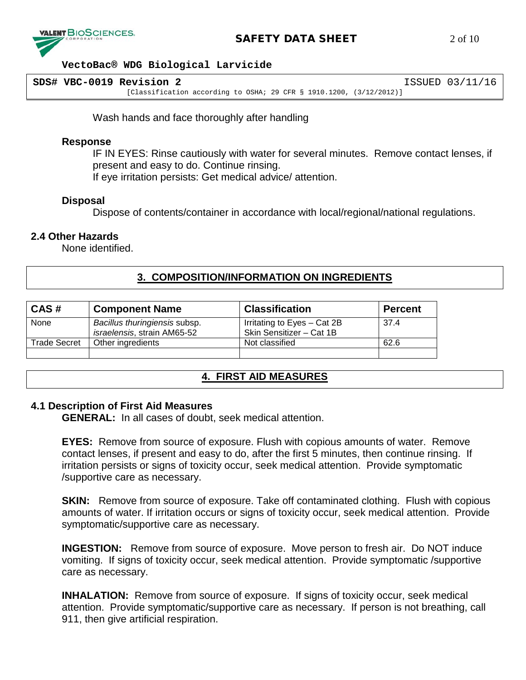

| SDS# VBC-0019 Revision 2 |                                                                        | ISSUED 03/11/16 |
|--------------------------|------------------------------------------------------------------------|-----------------|
|                          | [Classification according to OSHA; 29 CFR § 1910.1200, $(3/12/2012)$ ] |                 |

Wash hands and face thoroughly after handling

#### **Response**

IF IN EYES: Rinse cautiously with water for several minutes. Remove contact lenses, if present and easy to do. Continue rinsing.

If eye irritation persists: Get medical advice/ attention.

#### **Disposal**

Dispose of contents/container in accordance with local/regional/national regulations.

#### **2.4 Other Hazards**

None identified.

## **3. COMPOSITION/INFORMATION ON INGREDIENTS**

| CAS#                | <b>Component Name</b>                                        | <b>Classification</b>                                   | <b>Percent</b> |
|---------------------|--------------------------------------------------------------|---------------------------------------------------------|----------------|
| None                | Bacillus thuringiensis subsp.<br>israelensis, strain AM65-52 | Irritating to Eyes – Cat 2B<br>Skin Sensitizer - Cat 1B | 37.4           |
| <b>Trade Secret</b> | Other ingredients                                            | Not classified                                          | 62.6           |
|                     |                                                              |                                                         |                |

## **4. FIRST AID MEASURES**

#### **4.1 Description of First Aid Measures**

**GENERAL:** In all cases of doubt, seek medical attention.

**EYES:** Remove from source of exposure. Flush with copious amounts of water. Remove contact lenses, if present and easy to do, after the first 5 minutes, then continue rinsing. If irritation persists or signs of toxicity occur, seek medical attention. Provide symptomatic /supportive care as necessary.

**SKIN:** Remove from source of exposure. Take off contaminated clothing. Flush with copious amounts of water. If irritation occurs or signs of toxicity occur, seek medical attention. Provide symptomatic/supportive care as necessary.

**INGESTION:** Remove from source of exposure. Move person to fresh air. Do NOT induce vomiting. If signs of toxicity occur, seek medical attention. Provide symptomatic /supportive care as necessary.

**INHALATION:** Remove from source of exposure. If signs of toxicity occur, seek medical attention. Provide symptomatic/supportive care as necessary. If person is not breathing, call 911, then give artificial respiration.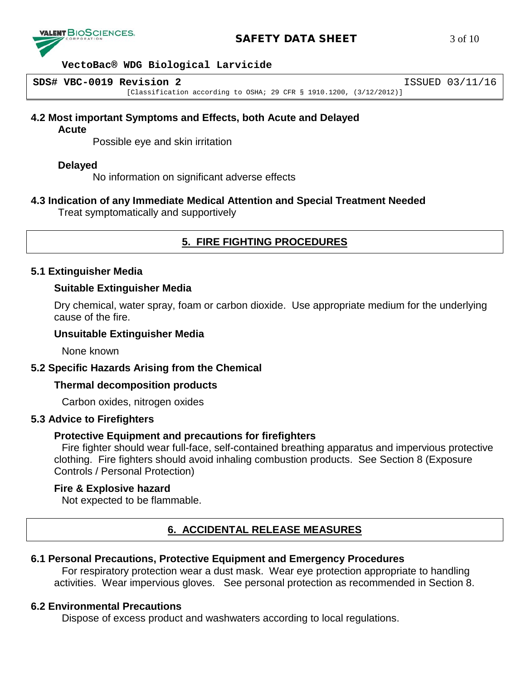

## **SAFETY DATA SHEET** 3 of 10

#### **VectoBac® WDG Biological Larvicide**

**SDS# VBC-0019 Revision 2** ISSUED 03/11/16

[Classification according to OSHA; 29 CFR § 1910.1200, (3/12/2012)]

### **4.2 Most important Symptoms and Effects, both Acute and Delayed**

#### **Acute**

Possible eye and skin irritation

## **Delayed**

No information on significant adverse effects

## **4.3 Indication of any Immediate Medical Attention and Special Treatment Needed**

Treat symptomatically and supportively

## **5. FIRE FIGHTING PROCEDURES**

#### **5.1 Extinguisher Media**

## **Suitable Extinguisher Media**

Dry chemical, water spray, foam or carbon dioxide. Use appropriate medium for the underlying cause of the fire.

#### **Unsuitable Extinguisher Media**

None known

## **5.2 Specific Hazards Arising from the Chemical**

## **Thermal decomposition products**

Carbon oxides, nitrogen oxides

#### **5.3 Advice to Firefighters**

## **Protective Equipment and precautions for firefighters**

Fire fighter should wear full-face, self-contained breathing apparatus and impervious protective clothing. Fire fighters should avoid inhaling combustion products. See Section 8 (Exposure Controls / Personal Protection)

## **Fire & Explosive hazard**

Not expected to be flammable.

## **6. ACCIDENTAL RELEASE MEASURES**

## **6.1 Personal Precautions, Protective Equipment and Emergency Procedures**

For respiratory protection wear a dust mask. Wear eye protection appropriate to handling activities. Wear impervious gloves. See personal protection as recommended in Section 8.

## **6.2 Environmental Precautions**

Dispose of excess product and washwaters according to local regulations.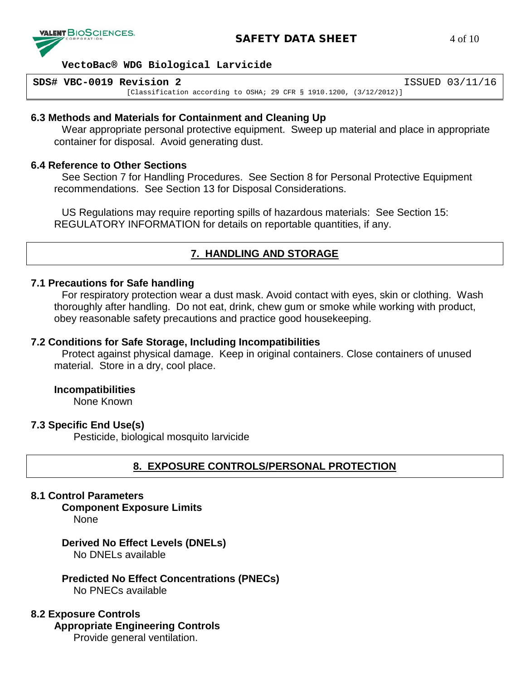

## **SAFETY DATA SHEET** 4 of 10

#### **VectoBac® WDG Biological Larvicide**

**SDS# VBC-0019 Revision 2** ISSUED 03/11/16 [Classification according to OSHA; 29 CFR § 1910.1200, (3/12/2012)]

#### **6.3 Methods and Materials for Containment and Cleaning Up**

Wear appropriate personal protective equipment. Sweep up material and place in appropriate container for disposal. Avoid generating dust.

#### **6.4 Reference to Other Sections**

See Section 7 for Handling Procedures. See Section 8 for Personal Protective Equipment recommendations. See Section 13 for Disposal Considerations.

US Regulations may require reporting spills of hazardous materials: See Section 15: REGULATORY INFORMATION for details on reportable quantities, if any.

## **7. HANDLING AND STORAGE**

#### **7.1 Precautions for Safe handling**

For respiratory protection wear a dust mask. Avoid contact with eyes, skin or clothing. Wash thoroughly after handling. Do not eat, drink, chew gum or smoke while working with product, obey reasonable safety precautions and practice good housekeeping.

#### **7.2 Conditions for Safe Storage, Including Incompatibilities**

Protect against physical damage. Keep in original containers. Close containers of unused material. Store in a dry, cool place.

#### **Incompatibilities**

None Known

#### **7.3 Specific End Use(s)**

Pesticide, biological mosquito larvicide

## **8. EXPOSURE CONTROLS/PERSONAL PROTECTION**

#### **8.1 Control Parameters**

**Component Exposure Limits** 

None

#### **Derived No Effect Levels (DNELs)** No DNELs available

**Predicted No Effect Concentrations (PNECs)** No PNECs available

#### **8.2 Exposure Controls**

**Appropriate Engineering Controls**

Provide general ventilation.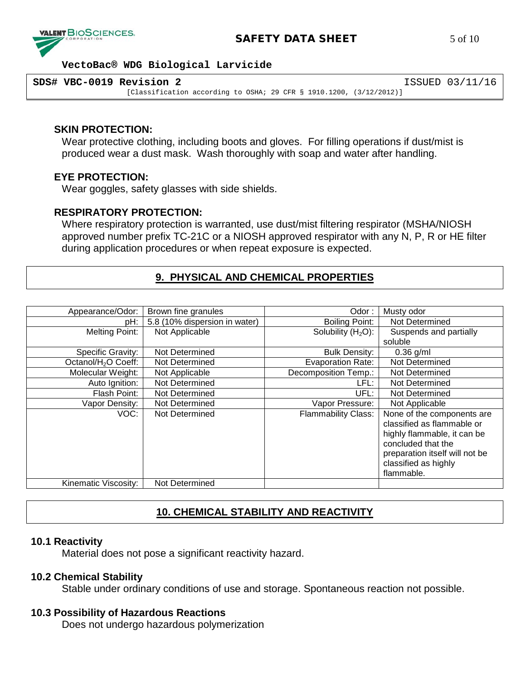

| SDS# VBC-0019 Revision 2 |                                                                        | ISSUED 03/11/16 |
|--------------------------|------------------------------------------------------------------------|-----------------|
|                          | [Classification according to OSHA; 29 CFR $\S$ 1910.1200, (3/12/2012)] |                 |

#### **SKIN PROTECTION:**

Wear protective clothing, including boots and gloves. For filling operations if dust/mist is produced wear a dust mask. Wash thoroughly with soap and water after handling.

#### **EYE PROTECTION:**

Wear goggles, safety glasses with side shields.

#### **RESPIRATORY PROTECTION:**

Where respiratory protection is warranted, use dust/mist filtering respirator (MSHA/NIOSH approved number prefix TC-21C or a NIOSH approved respirator with any N, P, R or HE filter during application procedures or when repeat exposure is expected.

#### **9. PHYSICAL AND CHEMICAL PROPERTIES**

| Appearance/Odor:                | Brown fine granules           | Odor :                     | Musty odor                                               |
|---------------------------------|-------------------------------|----------------------------|----------------------------------------------------------|
| pH:                             | 5.8 (10% dispersion in water) | <b>Boiling Point:</b>      | Not Determined                                           |
| Melting Point:                  | Not Applicable                | Solubility $(H2O)$ :       | Suspends and partially                                   |
|                                 |                               |                            | soluble                                                  |
| Specific Gravity:               | Not Determined                | <b>Bulk Density:</b>       | $0.36$ g/ml                                              |
| Octanol/H <sub>2</sub> O Coeff: | Not Determined                | <b>Evaporation Rate:</b>   | Not Determined                                           |
| Molecular Weight:               | Not Applicable                | Decomposition Temp.:       | Not Determined                                           |
| Auto Ignition:                  | Not Determined                | LFL: .                     | Not Determined                                           |
| Flash Point:                    | Not Determined                | UFL: I                     | Not Determined                                           |
| Vapor Density:                  | Not Determined                | Vapor Pressure:            | Not Applicable                                           |
| VOC:                            | Not Determined                | <b>Flammability Class:</b> | None of the components are<br>classified as flammable or |
|                                 |                               |                            | highly flammable, it can be                              |
|                                 |                               |                            | concluded that the                                       |
|                                 |                               |                            | preparation itself will not be                           |
|                                 |                               |                            | classified as highly                                     |
|                                 |                               |                            | flammable.                                               |
| Kinematic Viscosity:            | Not Determined                |                            |                                                          |

## **10. CHEMICAL STABILITY AND REACTIVITY**

#### **10.1 Reactivity**

Material does not pose a significant reactivity hazard.

#### **10.2 Chemical Stability**

Stable under ordinary conditions of use and storage. Spontaneous reaction not possible.

#### **10.3 Possibility of Hazardous Reactions**

Does not undergo hazardous polymerization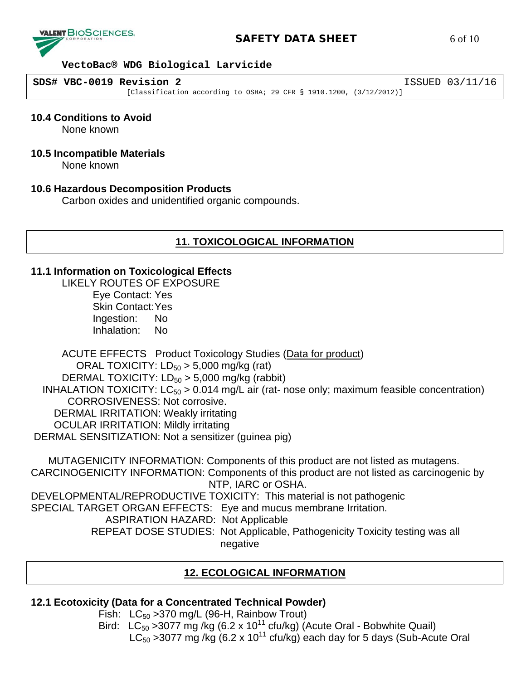

## **SAFETY DATA SHEET** 6 of 10

#### **VectoBac® WDG Biological Larvicide**

**SDS# VBC-0019 Revision 2** ISSUED 03/11/16 [Classification according to OSHA; 29 CFR § 1910.1200, (3/12/2012)]

#### **10.4 Conditions to Avoid**

None known

#### **10.5 Incompatible Materials**

None known

#### **10.6 Hazardous Decomposition Products**

Carbon oxides and unidentified organic compounds.

#### **11. TOXICOLOGICAL INFORMATION**

#### **11.1 Information on Toxicological Effects**

LIKELY ROUTES OF EXPOSURE

Eye Contact: Yes Skin Contact:Yes Ingestion: No Inhalation: No

ACUTE EFFECTS Product Toxicology Studies (Data for product) ORAL TOXICITY:  $LD_{50} > 5,000$  mg/kg (rat) DERMAL TOXICITY:  $LD_{50} > 5,000$  mg/kg (rabbit) INHALATION TOXICITY:  $LC_{50} > 0.014$  mg/L air (rat- nose only; maximum feasible concentration) CORROSIVENESS: Not corrosive. DERMAL IRRITATION: Weakly irritating OCULAR IRRITATION: Mildly irritating DERMAL SENSITIZATION: Not a sensitizer (guinea pig)

 MUTAGENICITY INFORMATION: Components of this product are not listed as mutagens. CARCINOGENICITY INFORMATION: Components of this product are not listed as carcinogenic by NTP, IARC or OSHA. DEVELOPMENTAL/REPRODUCTIVE TOXICITY: This material is not pathogenic SPECIAL TARGET ORGAN EFFECTS: Eye and mucus membrane Irritation. ASPIRATION HAZARD: Not Applicable REPEAT DOSE STUDIES: Not Applicable, Pathogenicity Toxicity testing was all negative

#### **12. ECOLOGICAL INFORMATION**

#### **12.1 Ecotoxicity (Data for a Concentrated Technical Powder)**

Fish:  $LC_{50}$  > 370 mg/L (96-H, Rainbow Trout) Bird:  $LC_{50}$  >3077 mg /kg (6.2 x 10<sup>11</sup> cfu/kg) (Acute Oral - Bobwhite Quail) LC<sub>50</sub> > 3077 mg /kg (6.2 x 10<sup>11</sup> cfu/kg) each day for 5 days (Sub-Acute Oral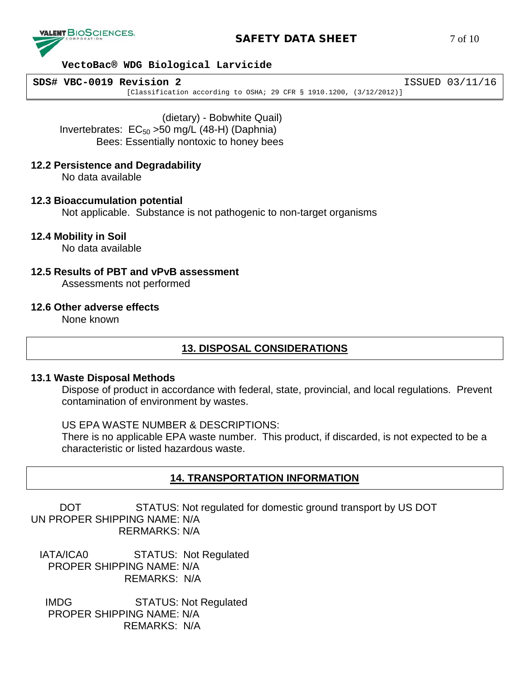

## **SAFETY DATA SHEET** 7 of 10

#### **VectoBac® WDG Biological Larvicide**

**SDS# VBC-0019 Revision 2** ISSUED 03/11/16 [Classification according to OSHA; 29 CFR § 1910.1200, (3/12/2012)]

(dietary) - Bobwhite Quail)

Invertebrates:  $EC_{50} > 50$  mg/L (48-H) (Daphnia)

Bees: Essentially nontoxic to honey bees

## **12.2 Persistence and Degradability**

No data available

#### **12.3 Bioaccumulation potential**

Not applicable. Substance is not pathogenic to non-target organisms

## **12.4 Mobility in Soil**

No data available

# **12.5 Results of PBT and vPvB assessment**

Assessments not performed

#### **12.6 Other adverse effects**

None known

## **13. DISPOSAL CONSIDERATIONS**

#### **13.1 Waste Disposal Methods**

Dispose of product in accordance with federal, state, provincial, and local regulations. Prevent contamination of environment by wastes.

### US EPA WASTE NUMBER & DESCRIPTIONS:

There is no applicable EPA waste number. This product, if discarded, is not expected to be a characteristic or listed hazardous waste.

## **14. TRANSPORTATION INFORMATION**

DOT STATUS: Not regulated for domestic ground transport by US DOT UN PROPER SHIPPING NAME: N/A RERMARKS: N/A

 IATA/ICA0 STATUS: Not Regulated PROPER SHIPPING NAME: N/A REMARKS: N/A

 IMDG STATUS: Not Regulated PROPER SHIPPING NAME: N/A REMARKS: N/A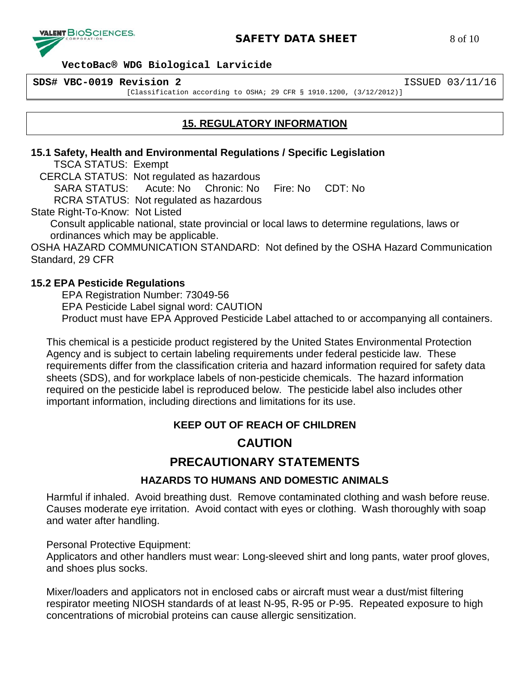

**SDS# VBC-0019 Revision 2** ISSUED 03/11/16

[Classification according to OSHA; 29 CFR § 1910.1200, (3/12/2012)]

## **15. REGULATORY INFORMATION**

#### **15.1 Safety, Health and Environmental Regulations / Specific Legislation**

TSCA STATUS: Exempt

CERCLA STATUS: Not regulated as hazardous

 SARA STATUS: Acute: No Chronic: No Fire: No CDT: No RCRA STATUS: Not regulated as hazardous

State Right-To-Know: Not Listed

Consult applicable national, state provincial or local laws to determine regulations, laws or ordinances which may be applicable.

OSHA HAZARD COMMUNICATION STANDARD: Not defined by the OSHA Hazard Communication Standard, 29 CFR

## **15.2 EPA Pesticide Regulations**

EPA Registration Number: 73049-56 EPA Pesticide Label signal word: CAUTION Product must have EPA Approved Pesticide Label attached to or accompanying all containers.

This chemical is a pesticide product registered by the United States Environmental Protection Agency and is subject to certain labeling requirements under federal pesticide law. These requirements differ from the classification criteria and hazard information required for safety data sheets (SDS), and for workplace labels of non-pesticide chemicals. The hazard information required on the pesticide label is reproduced below. The pesticide label also includes other important information, including directions and limitations for its use.

## **KEEP OUT OF REACH OF CHILDREN**

# **CAUTION**

# **PRECAUTIONARY STATEMENTS**

## **HAZARDS TO HUMANS AND DOMESTIC ANIMALS**

Harmful if inhaled. Avoid breathing dust. Remove contaminated clothing and wash before reuse. Causes moderate eye irritation. Avoid contact with eyes or clothing. Wash thoroughly with soap and water after handling.

Personal Protective Equipment:

Applicators and other handlers must wear: Long-sleeved shirt and long pants, water proof gloves, and shoes plus socks.

Mixer/loaders and applicators not in enclosed cabs or aircraft must wear a dust/mist filtering respirator meeting NIOSH standards of at least N-95, R-95 or P-95. Repeated exposure to high concentrations of microbial proteins can cause allergic sensitization.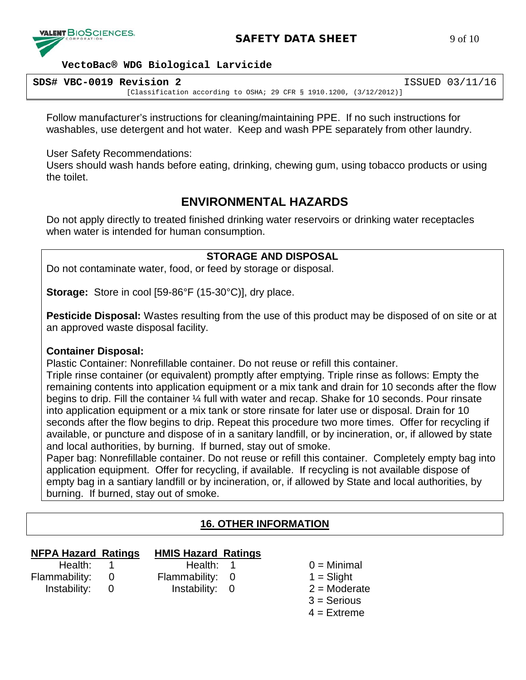

## **SAFETY DATA SHEET** 9 of 10

#### **VectoBac® WDG Biological Larvicide**

| SDS# VBC-0019 Revision 2 |                                                                        | ISSUED 03/11/16 |
|--------------------------|------------------------------------------------------------------------|-----------------|
|                          | [Classification according to OSHA; 29 CFR § 1910.1200, $(3/12/2012)$ ] |                 |

Follow manufacturer's instructions for cleaning/maintaining PPE. If no such instructions for washables, use detergent and hot water. Keep and wash PPE separately from other laundry.

User Safety Recommendations:

Users should wash hands before eating, drinking, chewing gum, using tobacco products or using the toilet.

# **ENVIRONMENTAL HAZARDS**

Do not apply directly to treated finished drinking water reservoirs or drinking water receptacles when water is intended for human consumption.

## **STORAGE AND DISPOSAL**

Do not contaminate water, food, or feed by storage or disposal.

**Storage:** Store in cool [59-86°F (15-30°C)], dry place.

**Pesticide Disposal:** Wastes resulting from the use of this product may be disposed of on site or at an approved waste disposal facility.

## **Container Disposal:**

Plastic Container: Nonrefillable container. Do not reuse or refill this container.

Triple rinse container (or equivalent) promptly after emptying. Triple rinse as follows: Empty the remaining contents into application equipment or a mix tank and drain for 10 seconds after the flow begins to drip. Fill the container ¼ full with water and recap. Shake for 10 seconds. Pour rinsate into application equipment or a mix tank or store rinsate for later use or disposal. Drain for 10 seconds after the flow begins to drip. Repeat this procedure two more times. Offer for recycling if available, or puncture and dispose of in a sanitary landfill, or by incineration, or, if allowed by state and local authorities, by burning. If burned, stay out of smoke.

Paper bag: Nonrefillable container. Do not reuse or refill this container. Completely empty bag into application equipment. Offer for recycling, if available. If recycling is not available dispose of empty bag in a santiary landfill or by incineration, or, if allowed by State and local authorities, by burning. If burned, stay out of smoke.

# **16. OTHER INFORMATION**

## **NFPA Hazard Ratings HMIS Hazard Ratings**

- Health: 1 Health: 1 0 = Minimal Flammability: 0 Flammability: 0 1 = Slight
- -
	- Instability: 0 Instability: 0 2 = Moderate
- 
- -
	- $3 =$  Serious
	- $4 =$ Extreme